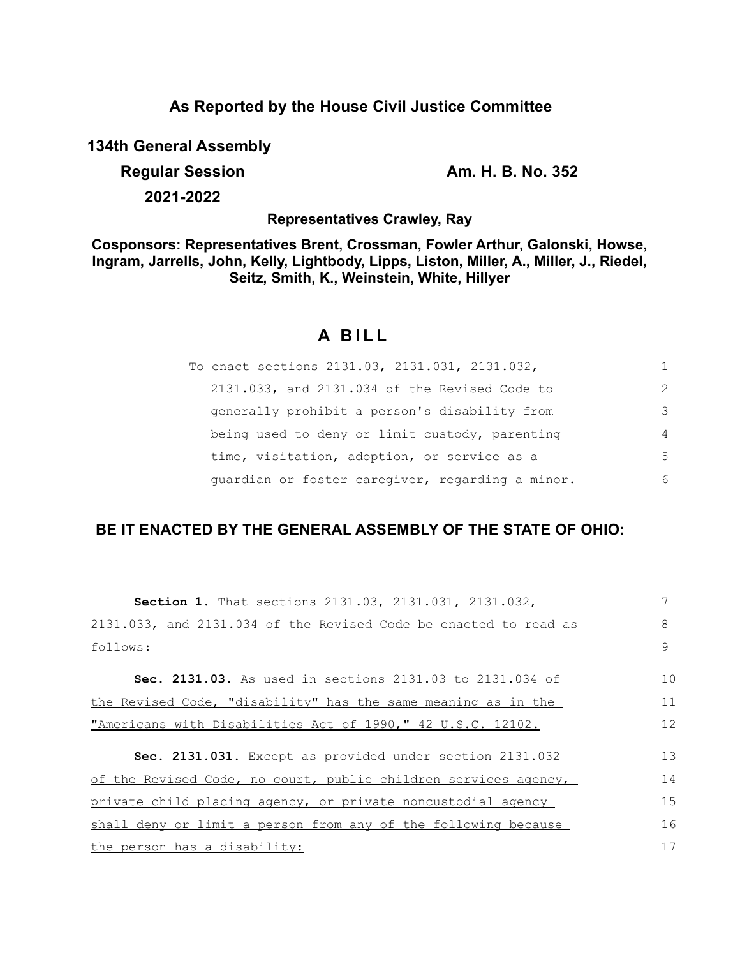## **As Reported by the House Civil Justice Committee**

**134th General Assembly**

**Regular Session Am. H. B. No. 352** 

**2021-2022**

**Representatives Crawley, Ray**

**Cosponsors: Representatives Brent, Crossman, Fowler Arthur, Galonski, Howse, Ingram, Jarrells, John, Kelly, Lightbody, Lipps, Liston, Miller, A., Miller, J., Riedel, Seitz, Smith, K., Weinstein, White, Hillyer**

## **A B I L L**

| To enact sections 2131.03, 2131.031, 2131.032,   |   |
|--------------------------------------------------|---|
| 2131.033, and 2131.034 of the Revised Code to    | 2 |
| generally prohibit a person's disability from    | 3 |
| being used to deny or limit custody, parenting   | 4 |
| time, visitation, adoption, or service as a      | 5 |
| guardian or foster caregiver, regarding a minor. | 6 |

## **BE IT ENACTED BY THE GENERAL ASSEMBLY OF THE STATE OF OHIO:**

| <b>Section 1.</b> That sections 2131.03, 2131.031, 2131.032,     |    |  |  |  |  |
|------------------------------------------------------------------|----|--|--|--|--|
| 2131.033, and 2131.034 of the Revised Code be enacted to read as | 8  |  |  |  |  |
| follows:                                                         | 9  |  |  |  |  |
| Sec. 2131.03. As used in sections 2131.03 to 2131.034 of         | 10 |  |  |  |  |
| the Revised Code, "disability" has the same meaning as in the    | 11 |  |  |  |  |
| "Americans with Disabilities Act of 1990," 42 U.S.C. 12102.      | 12 |  |  |  |  |
| Sec. 2131.031. Except as provided under section 2131.032         | 13 |  |  |  |  |
| of the Revised Code, no court, public children services agency,  | 14 |  |  |  |  |
| private child placing agency, or private noncustodial agency     | 15 |  |  |  |  |
| shall deny or limit a person from any of the following because   | 16 |  |  |  |  |
| the person has a disability:                                     |    |  |  |  |  |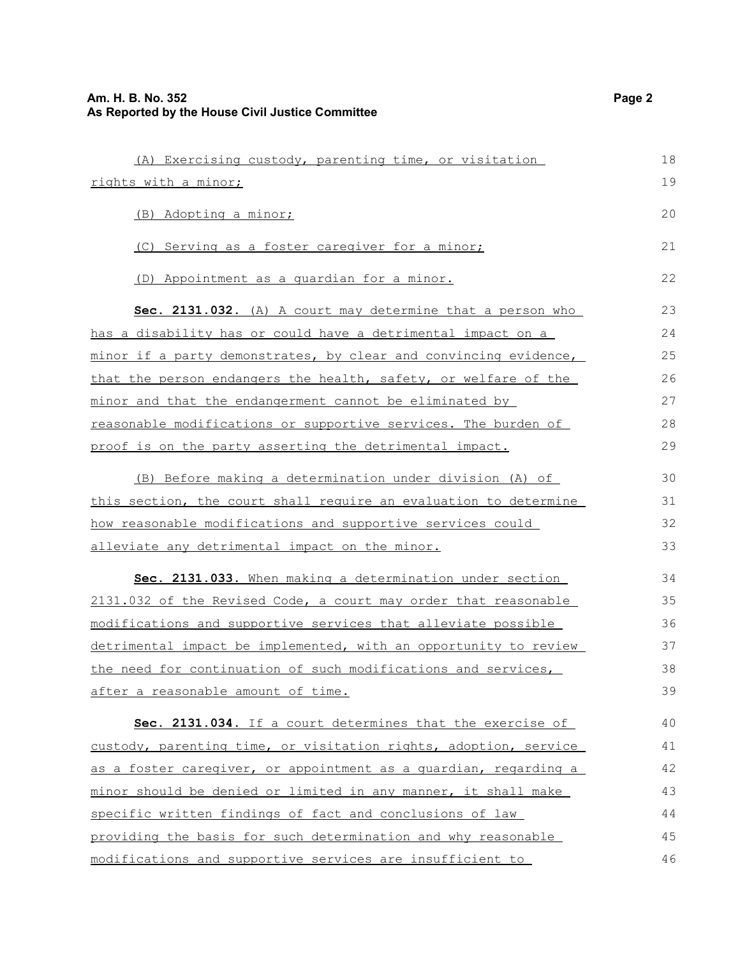| (A) Exercising custody, parenting time, or visitation                   | 18 |
|-------------------------------------------------------------------------|----|
| rights with a minor;                                                    | 19 |
| (B) Adopting a minor;                                                   | 20 |
| (C) Serving as a foster caregiver for a minor;                          | 21 |
| (D) Appointment as a quardian for a minor.                              | 22 |
| Sec. 2131.032. (A) A court may determine that a person who              | 23 |
| has a disability has or could have a detrimental impact on a            | 24 |
| <u>minor if a party demonstrates, by clear and convincing evidence,</u> | 25 |
| that the person endangers the health, safety, or welfare of the         | 26 |
| minor and that the endangerment cannot be eliminated by                 | 27 |
| reasonable modifications or supportive services. The burden of          | 28 |
| proof is on the party asserting the detrimental impact.                 | 29 |
| (B) Before making a determination under division (A) of                 | 30 |
| this section, the court shall require an evaluation to determine        | 31 |
| how reasonable modifications and supportive services could              | 32 |
| alleviate any detrimental impact on the minor.                          | 33 |
| Sec. 2131.033. When making a determination under section                | 34 |
| 2131.032 of the Revised Code, a court may order that reasonable         | 35 |
| modifications and supportive services that alleviate possible           | 36 |
| detrimental impact be implemented, with an opportunity to review        | 37 |
| the need for continuation of such modifications and services,           | 38 |
| after a reasonable amount of time.                                      | 39 |
| Sec. 2131.034. If a court determines that the exercise of               | 40 |
| custody, parenting time, or visitation rights, adoption, service        | 41 |
| as a foster caregiver, or appointment as a quardian, regarding a        | 42 |
| minor should be denied or limited in any manner, it shall make          | 43 |
| specific written findings of fact and conclusions of law                | 44 |
| providing the basis for such determination and why reasonable           | 45 |
| modifications and supportive services are insufficient to               | 46 |